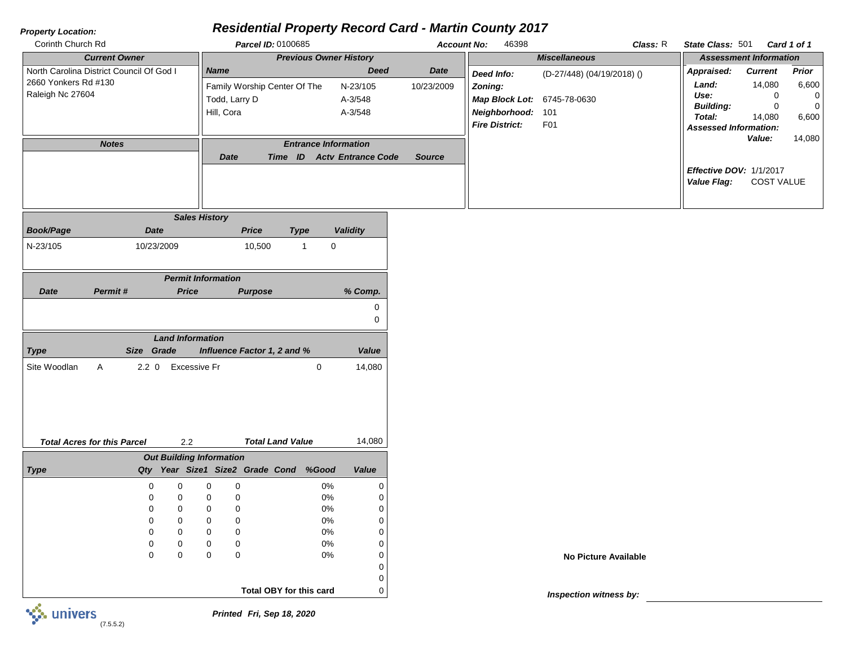## *Property Location:*

## *Residential Property Record Card - Martin County 2017*

| Corinth Church Rd                                                                    | Parcel ID: 0100685                                                         |                                               | <b>Account No:</b>        | 46398                                                                        | <b>Class:</b> R                   | State Class: 501                                                              |                                    | Card 1 of 1                                             |
|--------------------------------------------------------------------------------------|----------------------------------------------------------------------------|-----------------------------------------------|---------------------------|------------------------------------------------------------------------------|-----------------------------------|-------------------------------------------------------------------------------|------------------------------------|---------------------------------------------------------|
| <b>Current Owner</b>                                                                 | <b>Previous Owner History</b>                                              |                                               |                           |                                                                              | <b>Miscellaneous</b>              | <b>Assessment Information</b>                                                 |                                    |                                                         |
| North Carolina District Council Of God I<br>2660 Yonkers Rd #130<br>Raleigh Nc 27604 | <b>Name</b><br>Family Worship Center Of The<br>Todd, Larry D<br>Hill, Cora | <b>Deed</b><br>N-23/105<br>A-3/548<br>A-3/548 | <b>Date</b><br>10/23/2009 | Deed Info:<br>Zoning:<br><b>Map Block Lot: 6745-78-0630</b><br>Neighborhood: | (D-27/448) (04/19/2018) ()<br>101 | Appraised:<br>Land:<br>Use:<br><b>Building:</b><br>Total:                     | <b>Current</b><br>14,080<br>14,080 | Prior<br>6,600<br>$\mathbf{0}$<br>$\mathbf{0}$<br>6,600 |
| <b>Notes</b>                                                                         | <b>Entrance Information</b><br>Date<br>Time ID                             | <b>Acty Entrance Code</b>                     | Source                    | <b>Fire District:</b>                                                        | <b>F01</b>                        | <b>Assessed Information:</b><br><b>Effective DOV: 1/1/2017</b><br>Value Flag: | <b>Value:</b><br><b>COST VALUE</b> | 14,080                                                  |

|                  |                                    |             |              | <b>Sales History</b>    |                                 |                                |                         |              |             |
|------------------|------------------------------------|-------------|--------------|-------------------------|---------------------------------|--------------------------------|-------------------------|--------------|-------------|
| <b>Book/Page</b> |                                    | <b>Date</b> |              |                         |                                 | <b>Price</b>                   | <b>Type</b>             |              | Validity    |
| N-23/105         |                                    | 10/23/2009  |              |                         |                                 | 10,500                         |                         | $\mathbf{1}$ | $\mathbf 0$ |
|                  |                                    |             |              |                         | <b>Permit Information</b>       |                                |                         |              |             |
| <b>Date</b>      | Permit#                            |             | <b>Price</b> |                         |                                 | <b>Purpose</b>                 |                         |              | % Comp.     |
|                  |                                    |             |              |                         |                                 |                                |                         |              | $\mathbf 0$ |
|                  |                                    |             |              |                         |                                 |                                |                         |              | $\mathbf 0$ |
|                  |                                    |             |              | <b>Land Information</b> |                                 |                                |                         |              |             |
| <b>Type</b>      | <b>Size</b>                        | Grade       |              |                         |                                 | Influence Factor 1, 2 and %    |                         |              | Value       |
| Site Woodlan     | A                                  | $2.2 \ 0$   |              | <b>Excessive Fr</b>     |                                 |                                |                         | $\mathbf 0$  | 14,080      |
|                  |                                    |             |              |                         |                                 |                                |                         |              |             |
|                  |                                    |             |              |                         |                                 |                                |                         |              |             |
|                  |                                    |             |              |                         |                                 |                                |                         |              |             |
|                  |                                    |             |              |                         |                                 |                                |                         |              |             |
|                  |                                    |             |              |                         |                                 |                                |                         |              |             |
|                  | <b>Total Acres for this Parcel</b> |             | 2.2          |                         |                                 |                                | <b>Total Land Value</b> |              | 14,080      |
|                  |                                    |             |              |                         | <b>Out Building Information</b> |                                |                         |              |             |
| <b>Type</b>      | Qty                                |             |              |                         |                                 | Year Size1 Size2 Grade Cond    |                         | %Good        | Value       |
|                  |                                    | 0           | 0            | 0                       | 0                               |                                |                         | 0%           | 0           |
|                  |                                    | $\Omega$    | 0            | $\Omega$                | 0                               |                                |                         | 0%           | 0           |
|                  |                                    | 0           | 0            | 0                       | 0                               |                                |                         | 0%           | 0           |
|                  |                                    | 0           | 0            | 0                       | 0                               |                                |                         | 0%           | 0           |
|                  |                                    | 0           | 0            | 0                       | 0                               |                                |                         | 0%           | 0           |
|                  |                                    | 0           | 0            | 0                       | 0                               |                                |                         | 0%           | 0           |
|                  |                                    | 0           | 0            | 0                       | 0                               |                                |                         | 0%           | 0           |
|                  |                                    |             |              |                         |                                 |                                |                         |              | 0           |
|                  |                                    |             |              |                         |                                 |                                |                         |              |             |
|                  |                                    |             |              |                         |                                 | <b>Total OBY for this card</b> |                         |              | 0<br>0      |

*Inspection witness by:*

**No Picture Available**